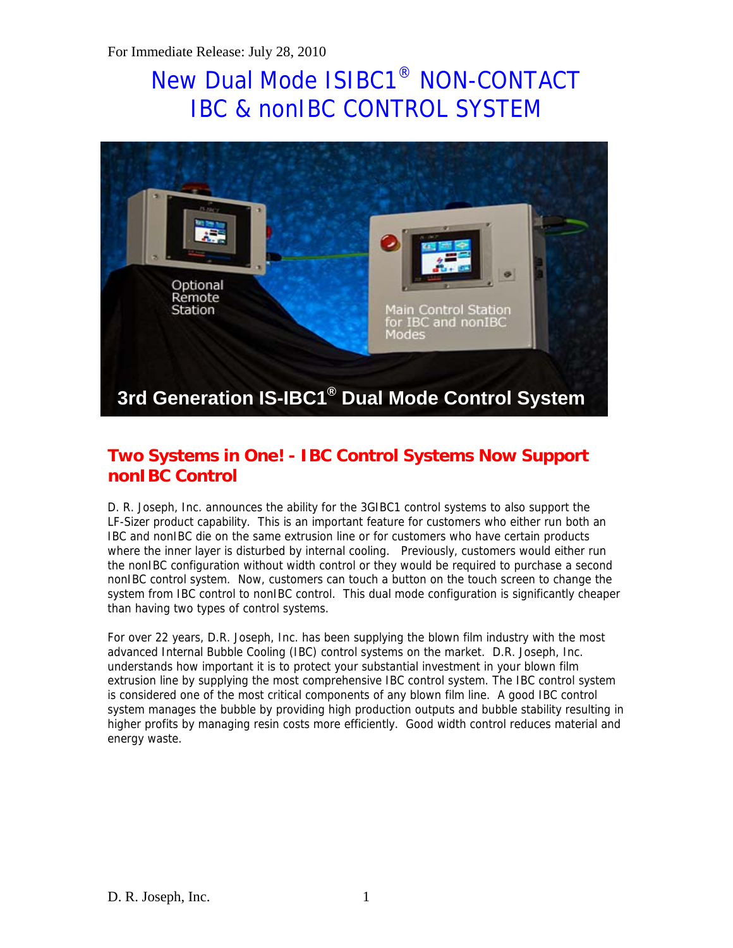# New Dual Mode ISIBC1® NON-CONTACT IBC & nonIBC CONTROL SYSTEM



## **Two Systems in One! - IBC Control Systems Now Support nonIBC Control**

D. R. Joseph, Inc. announces the ability for the 3GIBC1 control systems to also support the LF-Sizer product capability. This is an important feature for customers who either run both an IBC and nonIBC die on the same extrusion line or for customers who have certain products where the inner layer is disturbed by internal cooling. Previously, customers would either run the nonIBC configuration without width control or they would be required to purchase a second nonIBC control system. Now, customers can touch a button on the touch screen to change the system from IBC control to nonIBC control. This dual mode configuration is significantly cheaper than having two types of control systems.

For over 22 years, D.R. Joseph, Inc. has been supplying the blown film industry with the most advanced Internal Bubble Cooling (IBC) control systems on the market. D.R. Joseph, Inc. understands how important it is to protect your substantial investment in your blown film extrusion line by supplying the most comprehensive IBC control system. The IBC control system is considered one of the most critical components of any blown film line. A good IBC control system manages the bubble by providing high production outputs and bubble stability resulting in higher profits by managing resin costs more efficiently. Good width control reduces material and energy waste.